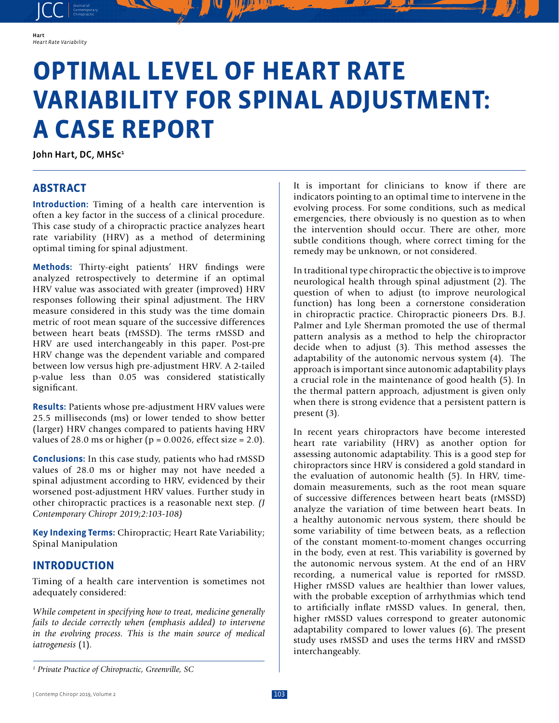JCC contemporary Contemporary

# **OPTIMAL LEVEL OF HEART RATE VARIABILITY FOR SPINAL ADJUSTMENT: A CASE REPORT**

John Hart, DC, MHSc<sup>1</sup>

# **ABSTRACT**

**Introduction:** Timing of a health care intervention is often a key factor in the success of a clinical procedure. This case study of a chiropractic practice analyzes heart rate variability (HRV) as a method of determining optimal timing for spinal adjustment.

**Methods:** Thirty-eight patients' HRV findings were analyzed retrospectively to determine if an optimal HRV value was associated with greater (improved) HRV responses following their spinal adjustment. The HRV measure considered in this study was the time domain metric of root mean square of the successive differences between heart beats (rMSSD). The terms rMSSD and HRV are used interchangeably in this paper. Post-pre HRV change was the dependent variable and compared between low versus high pre-adjustment HRV. A 2-tailed p-value less than 0.05 was considered statistically significant.

**Results:** Patients whose pre-adjustment HRV values were 25.5 milliseconds (ms) or lower tended to show better (larger) HRV changes compared to patients having HRV values of 28.0 ms or higher ( $p = 0.0026$ , effect size = 2.0).

**Conclusions:** In this case study, patients who had rMSSD values of 28.0 ms or higher may not have needed a spinal adjustment according to HRV, evidenced by their worsened post-adjustment HRV values. Further study in other chiropractic practices is a reasonable next step. *(J Contemporary Chiropr 2019;2:103-108)*

**Key Indexing Terms:** Chiropractic; Heart Rate Variability; Spinal Manipulation

# **INTRODUCTION**

Timing of a health care intervention is sometimes not adequately considered:

*While competent in specifying how to treat, medicine generally fails to decide correctly when (emphasis added) to intervene in the evolving process. This is the main source of medical iatrogenesis* (1).

It is important for clinicians to know if there are indicators pointing to an optimal time to intervene in the evolving process. For some conditions, such as medical emergencies, there obviously is no question as to when the intervention should occur. There are other, more subtle conditions though, where correct timing for the remedy may be unknown, or not considered.

In traditional type chiropractic the objective is to improve neurological health through spinal adjustment (2). The question of when to adjust (to improve neurological function) has long been a cornerstone consideration in chiropractic practice. Chiropractic pioneers Drs. B.J. Palmer and Lyle Sherman promoted the use of thermal pattern analysis as a method to help the chiropractor decide when to adjust (3). This method assesses the adaptability of the autonomic nervous system (4). The approach is important since autonomic adaptability plays a crucial role in the maintenance of good health (5). In the thermal pattern approach, adjustment is given only when there is strong evidence that a persistent pattern is present (3).

In recent years chiropractors have become interested heart rate variability (HRV) as another option for assessing autonomic adaptability. This is a good step for chiropractors since HRV is considered a gold standard in the evaluation of autonomic health (5). In HRV, timedomain measurements, such as the root mean square of successive differences between heart beats (rMSSD) analyze the variation of time between heart beats. In a healthy autonomic nervous system, there should be some variability of time between beats, as a reflection of the constant moment-to-moment changes occurring in the body, even at rest. This variability is governed by the autonomic nervous system. At the end of an HRV recording, a numerical value is reported for rMSSD. Higher rMSSD values are healthier than lower values, with the probable exception of arrhythmias which tend to artificially inflate rMSSD values. In general, then, higher rMSSD values correspond to greater autonomic adaptability compared to lower values (6). The present study uses rMSSD and uses the terms HRV and rMSSD interchangeably.

*<sup>1</sup> Private Practice of Chiropractic, Greenville, SC*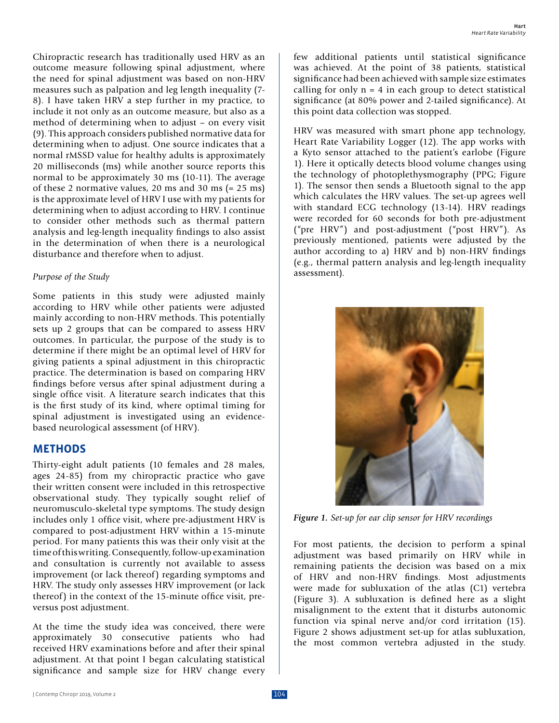Chiropractic research has traditionally used HRV as an outcome measure following spinal adjustment, where the need for spinal adjustment was based on non-HRV measures such as palpation and leg length inequality (7- 8). I have taken HRV a step further in my practice, to include it not only as an outcome measure, but also as a method of determining when to adjust – on every visit (9). This approach considers published normative data for determining when to adjust. One source indicates that a normal rMSSD value for healthy adults is approximately 20 milliseconds (ms) while another source reports this normal to be approximately 30 ms (10-11). The average of these 2 normative values, 20 ms and 30 ms (= 25 ms) is the approximate level of HRV I use with my patients for determining when to adjust according to HRV. I continue to consider other methods such as thermal pattern analysis and leg-length inequality findings to also assist in the determination of when there is a neurological disturbance and therefore when to adjust.

#### *Purpose of the Study*

Some patients in this study were adjusted mainly according to HRV while other patients were adjusted mainly according to non-HRV methods. This potentially sets up 2 groups that can be compared to assess HRV outcomes. In particular, the purpose of the study is to determine if there might be an optimal level of HRV for giving patients a spinal adjustment in this chiropractic practice. The determination is based on comparing HRV findings before versus after spinal adjustment during a single office visit. A literature search indicates that this is the first study of its kind, where optimal timing for spinal adjustment is investigated using an evidencebased neurological assessment (of HRV).

## **METHODS**

Thirty-eight adult patients (10 females and 28 males, ages 24-85) from my chiropractic practice who gave their written consent were included in this retrospective observational study. They typically sought relief of neuromusculo-skeletal type symptoms. The study design includes only 1 office visit, where pre-adjustment HRV is compared to post-adjustment HRV within a 15-minute period. For many patients this was their only visit at the time of this writing. Consequently, follow-up examination and consultation is currently not available to assess improvement (or lack thereof) regarding symptoms and HRV. The study only assesses HRV improvement (or lack thereof) in the context of the 15-minute office visit, preversus post adjustment.

At the time the study idea was conceived, there were approximately 30 consecutive patients who had received HRV examinations before and after their spinal adjustment. At that point I began calculating statistical significance and sample size for HRV change every

few additional patients until statistical significance was achieved. At the point of 38 patients, statistical significance had been achieved with sample size estimates calling for only  $n = 4$  in each group to detect statistical significance (at 80% power and 2-tailed significance). At this point data collection was stopped.

HRV was measured with smart phone app technology, Heart Rate Variability Logger (12). The app works with a Kyto sensor attached to the patient's earlobe (Figure 1). Here it optically detects blood volume changes using the technology of photoplethysmography (PPG; Figure 1). The sensor then sends a Bluetooth signal to the app which calculates the HRV values. The set-up agrees well with standard ECG technology (13-14). HRV readings were recorded for 60 seconds for both pre-adjustment ("pre HRV") and post-adjustment ("post HRV"). As previously mentioned, patients were adjusted by the author according to a) HRV and b) non-HRV findings (e.g., thermal pattern analysis and leg-length inequality assessment).



*Figure 1. Set-up for ear clip sensor for HRV recordings*

For most patients, the decision to perform a spinal adjustment was based primarily on HRV while in remaining patients the decision was based on a mix of HRV and non-HRV findings. Most adjustments were made for subluxation of the atlas (C1) vertebra (Figure 3). A subluxation is defined here as a slight misalignment to the extent that it disturbs autonomic function via spinal nerve and/or cord irritation (15). Figure 2 shows adjustment set-up for atlas subluxation, the most common vertebra adjusted in the study.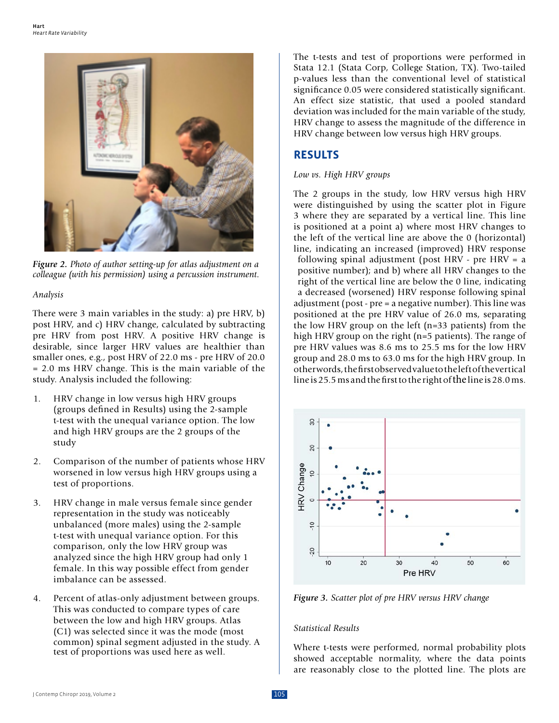

*Figure 2. Photo of author setting-up for atlas adjustment on a colleague (with his permission) using a percussion instrument.*

## *Analysis*

There were 3 main variables in the study: a) pre HRV, b) post HRV, and c) HRV change, calculated by subtracting pre HRV from post HRV. A positive HRV change is desirable, since larger HRV values are healthier than smaller ones, e.g., post HRV of 22.0 ms - pre HRV of 20.0 = 2.0 ms HRV change. This is the main variable of the study. Analysis included the following:

- 1. HRV change in low versus high HRV groups (groups defined in Results) using the 2-sample t-test with the unequal variance option. The low and high HRV groups are the 2 groups of the study
- 2. Comparison of the number of patients whose HRV worsened in low versus high HRV groups using a test of proportions.
- 3. HRV change in male versus female since gender representation in the study was noticeably unbalanced (more males) using the 2-sample t-test with unequal variance option. For this comparison, only the low HRV group was analyzed since the high HRV group had only 1 female. In this way possible effect from gender imbalance can be assessed.
- 4. Percent of atlas-only adjustment between groups. This was conducted to compare types of care between the low and high HRV groups. Atlas (C1) was selected since it was the mode (most common) spinal segment adjusted in the study. A test of proportions was used here as well.

The t-tests and test of proportions were performed in Stata 12.1 (Stata Corp, College Station, TX). Two-tailed p-values less than the conventional level of statistical significance 0.05 were considered statistically significant. An effect size statistic, that used a pooled standard deviation was included for the main variable of the study, HRV change to assess the magnitude of the difference in HRV change between low versus high HRV groups.

# **RESULTS**

### *Low vs. High HRV groups*

The 2 groups in the study, low HRV versus high HRV were distinguished by using the scatter plot in Figure 3 where they are separated by a vertical line. This line is positioned at a point a) where most HRV changes to the left of the vertical line are above the 0 (horizontal) line, indicating an increased (improved) HRV response following spinal adjustment (post HRV - pre HRV = a positive number); and b) where all HRV changes to the right of the vertical line are below the 0 line, indicating a decreased (worsened) HRV response following spinal adjustment (post - pre = a negative number). This line was positioned at the pre HRV value of 26.0 ms, separating the low HRV group on the left (n=33 patients) from the high HRV group on the right (n=5 patients). The range of pre HRV values was 8.6 ms to 25.5 ms for the low HRV group and 28.0 ms to 63.0 ms for the high HRV group. In other words, the first observed value to the left of the vertical line is 25.5 ms and the first to the right of the line is 28.0 ms.



*Figure 3. Scatter plot of pre HRV versus HRV change*

## *Statistical Results*

Where t-tests were performed, normal probability plots showed acceptable normality, where the data points are reasonably close to the plotted line. The plots are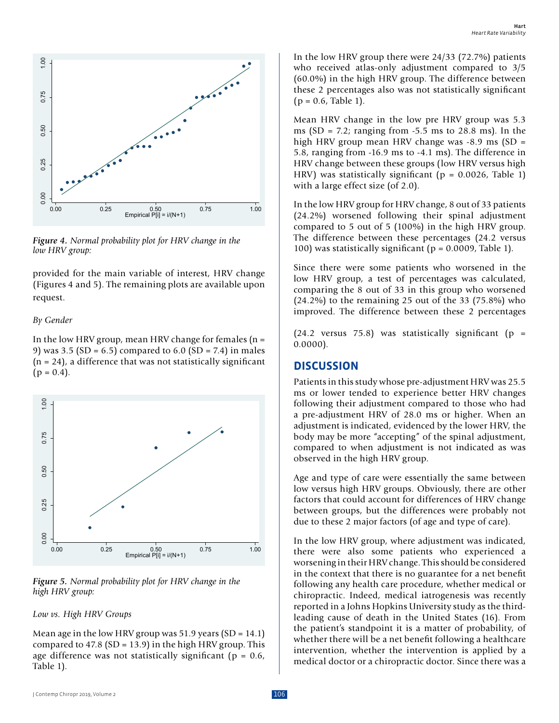

*Figure 4. Normal probability plot for HRV change in the low HRV group:*

provided for the main variable of interest, HRV change (Figures 4 and 5). The remaining plots are available upon request.

#### *By Gender*

In the low HRV group, mean HRV change for females  $(n =$ 9) was 3.5 (SD =  $6.5$ ) compared to  $6.0$  (SD =  $7.4$ ) in males  $(n = 24)$ , a difference that was not statistically significant  $(p = 0.4)$ .



*Figure 5. Normal probability plot for HRV change in the* 

*Low vs. High HRV Groups*

Mean age in the low HRV group was  $51.9$  years (SD = 14.1) compared to  $47.8$  (SD = 13.9) in the high HRV group. This age difference was not statistically significant ( $p = 0.6$ , Table 1).

In the low HRV group there were 24/33 (72.7%) patients who received atlas-only adjustment compared to 3/5 (60.0%) in the high HRV group. The difference between these 2 percentages also was not statistically significant  $(p = 0.6,$  Table 1).

Mean HRV change in the low pre HRV group was 5.3 ms  $(SD = 7.2$ ; ranging from  $-5.5$  ms to 28.8 ms). In the high HRV group mean HRV change was  $-8.9$  ms (SD  $=$ 5.8, ranging from -16.9 ms to -4.1 ms). The difference in HRV change between these groups (low HRV versus high HRV) was statistically significant ( $p = 0.0026$ , Table 1) with a large effect size (of 2.0).

In the low HRV group for HRV change, 8 out of 33 patients (24.2%) worsened following their spinal adjustment compared to 5 out of 5 (100%) in the high HRV group. The difference between these percentages (24.2 versus 100) was statistically significant (p = 0.0009, Table 1).

Since there were some patients who worsened in the low HRV group, a test of percentages was calculated, comparing the 8 out of 33 in this group who worsened (24.2%) to the remaining 25 out of the 33 (75.8%) who improved. The difference between these 2 percentages

 $(24.2 \text{ versus } 75.8)$  was statistically significant  $(p =$ 0.0000).

## **DISCUSSION**

Patients in this study whose pre-adjustment HRV was 25.5 ms or lower tended to experience better HRV changes following their adjustment compared to those who had a pre-adjustment HRV of 28.0 ms or higher. When an adjustment is indicated, evidenced by the lower HRV, the body may be more "accepting" of the spinal adjustment, compared to when adjustment is not indicated as was observed in the high HRV group.

Age and type of care were essentially the same between low versus high HRV groups. Obviously, there are other factors that could account for differences of HRV change between groups, but the differences were probably not due to these 2 major factors (of age and type of care).

In the low HRV group, where adjustment was indicated, there were also some patients who experienced a worsening in their HRV change. This should be considered in the context that there is no guarantee for a net benefit following any health care procedure, whether medical or chiropractic. Indeed, medical iatrogenesis was recently reported in a Johns Hopkins University study as the thirdleading cause of death in the United States (16). From the patient's standpoint it is a matter of probability, of whether there will be a net benefit following a healthcare intervention, whether the intervention is applied by a medical doctor or a chiropractic doctor. Since there was a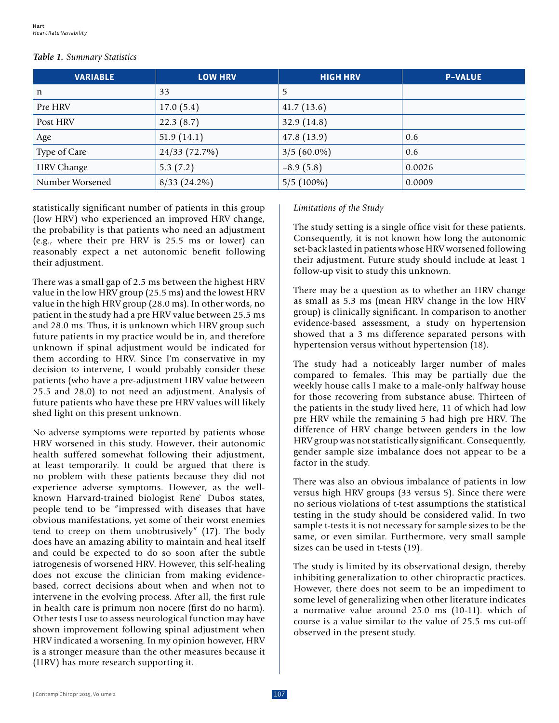#### *Table 1. Summary Statistics*

| <b>VARIABLE</b>   | <b>LOW HRV</b> | <b>HIGH HRV</b> | <b>P-VALUE</b> |
|-------------------|----------------|-----------------|----------------|
| n                 | 33             | 5               |                |
| Pre HRV           | 17.0(5.4)      | 41.7(13.6)      |                |
| Post HRV          | 22.3(8.7)      | 32.9 $(14.8)$   |                |
| Age               | 51.9(14.1)     | 47.8(13.9)      | 0.6            |
| Type of Care      | 24/33 (72.7%)  | $3/5(60.0\%)$   | 0.6            |
| <b>HRV</b> Change | 5.3(7.2)       | $-8.9(5.8)$     | 0.0026         |
| Number Worsened   | $8/33$ (24.2%) | $5/5(100\%)$    | 0.0009         |

statistically significant number of patients in this group (low HRV) who experienced an improved HRV change, the probability is that patients who need an adjustment (e.g., where their pre HRV is 25.5 ms or lower) can reasonably expect a net autonomic benefit following their adjustment.

There was a small gap of 2.5 ms between the highest HRV value in the low HRV group (25.5 ms) and the lowest HRV value in the high HRV group (28.0 ms). In other words, no patient in the study had a pre HRV value between 25.5 ms and 28.0 ms. Thus, it is unknown which HRV group such future patients in my practice would be in, and therefore unknown if spinal adjustment would be indicated for them according to HRV. Since I'm conservative in my decision to intervene, I would probably consider these patients (who have a pre-adjustment HRV value between 25.5 and 28.0) to not need an adjustment. Analysis of future patients who have these pre HRV values will likely shed light on this present unknown.

No adverse symptoms were reported by patients whose HRV worsened in this study. However, their autonomic health suffered somewhat following their adjustment, at least temporarily. It could be argued that there is no problem with these patients because they did not experience adverse symptoms. However, as the wellknown Harvard-trained biologist Rene` Dubos states, people tend to be "impressed with diseases that have obvious manifestations, yet some of their worst enemies tend to creep on them unobtrusively" (17). The body does have an amazing ability to maintain and heal itself and could be expected to do so soon after the subtle iatrogenesis of worsened HRV. However, this self-healing does not excuse the clinician from making evidencebased, correct decisions about when and when not to intervene in the evolving process. After all, the first rule in health care is primum non nocere (first do no harm). Other tests I use to assess neurological function may have shown improvement following spinal adjustment when HRV indicated a worsening. In my opinion however, HRV is a stronger measure than the other measures because it (HRV) has more research supporting it.

#### *Limitations of the Study*

The study setting is a single office visit for these patients. Consequently, it is not known how long the autonomic set-back lasted in patients whose HRV worsened following their adjustment. Future study should include at least 1 follow-up visit to study this unknown.

There may be a question as to whether an HRV change as small as 5.3 ms (mean HRV change in the low HRV group) is clinically significant. In comparison to another evidence-based assessment, a study on hypertension showed that a 3 ms difference separated persons with hypertension versus without hypertension (18).

The study had a noticeably larger number of males compared to females. This may be partially due the weekly house calls I make to a male-only halfway house for those recovering from substance abuse. Thirteen of the patients in the study lived here, 11 of which had low pre HRV while the remaining 5 had high pre HRV. The difference of HRV change between genders in the low HRV group was not statistically significant. Consequently, gender sample size imbalance does not appear to be a factor in the study.

There was also an obvious imbalance of patients in low versus high HRV groups (33 versus 5). Since there were no serious violations of t-test assumptions the statistical testing in the study should be considered valid. In two sample t-tests it is not necessary for sample sizes to be the same, or even similar. Furthermore, very small sample sizes can be used in t-tests (19).

The study is limited by its observational design, thereby inhibiting generalization to other chiropractic practices. However, there does not seem to be an impediment to some level of generalizing when other literature indicates a normative value around 25.0 ms (10-11). which of course is a value similar to the value of 25.5 ms cut-off observed in the present study.